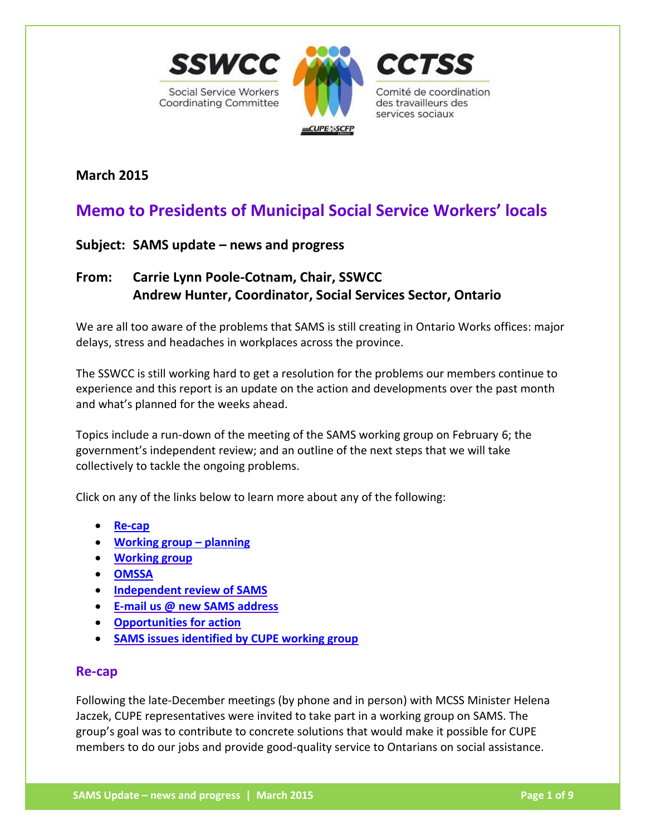

**March 2015**

# **Memo to Presidents of Municipal Social Service Workers' locals**

## **Subject: SAMS update – news and progress**

## **From: Carrie Lynn Poole-Cotnam, Chair, SSWCC Andrew Hunter, Coordinator, Social Services Sector, Ontario**

We are all too aware of the problems that SAMS is still creating in Ontario Works offices: major delays, stress and headaches in workplaces across the province.

The SSWCC is still working hard to get a resolution for the problems our members continue to experience and this report is an update on the action and developments over the past month and what's planned for the weeks ahead.

Topics include a run-down of the meeting of the SAMS working group on February 6; the government's independent review; and an outline of the next steps that we will take collectively to tackle the ongoing problems.

Click on any of the links below to learn more about any of the following:

- **[Re-cap](#page-0-0)**
- **[Working group](#page-1-0) – planning**
- **[Working group](#page-1-1)**
- **[OMSSA](#page-2-0)**
- **[Independent review of SAMS](#page-2-1)**
- **[E-mail us @ new SAMS](#page-2-2) address**
- **[Opportunities for action](#page-3-0)**
- **[SAMS issues identified by CUPE working group](#page-4-0)**

#### <span id="page-0-0"></span>**Re-cap**

Following the late-December meetings (by phone and in person) with MCSS Minister Helena Jaczek, CUPE representatives were invited to take part in a working group on SAMS. The group's goal was to contribute to concrete solutions that would make it possible for CUPE members to do our jobs and provide good-quality service to Ontarians on social assistance.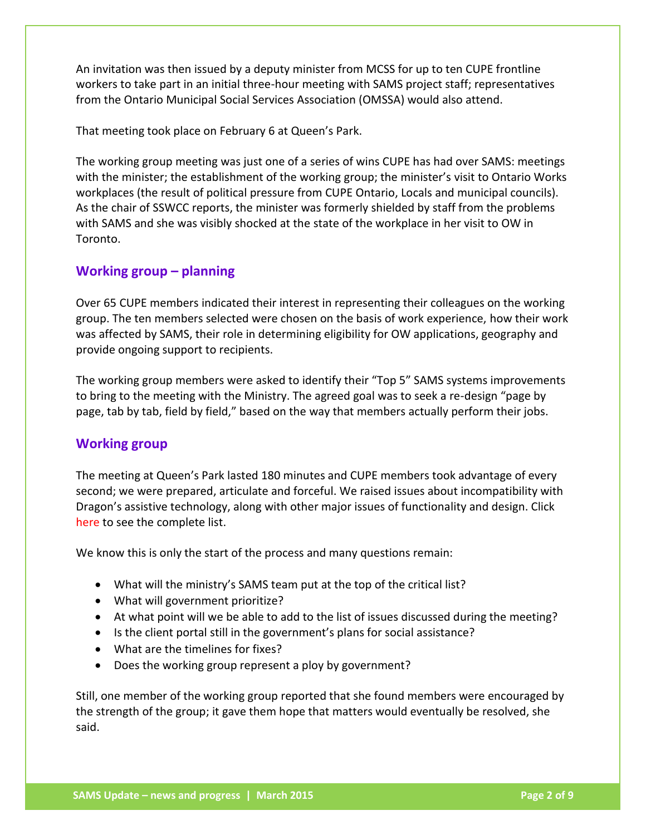An invitation was then issued by a deputy minister from MCSS for up to ten CUPE frontline workers to take part in an initial three-hour meeting with SAMS project staff; representatives from the Ontario Municipal Social Services Association (OMSSA) would also attend.

That meeting took place on February 6 at Queen's Park.

The working group meeting was just one of a series of wins CUPE has had over SAMS: meetings with the minister; the establishment of the working group; the minister's visit to Ontario Works workplaces (the result of political pressure from CUPE Ontario, Locals and municipal councils). As the chair of SSWCC reports, the minister was formerly shielded by staff from the problems with SAMS and she was visibly shocked at the state of the workplace in her visit to OW in Toronto.

## <span id="page-1-0"></span>**Working group – planning**

Over 65 CUPE members indicated their interest in representing their colleagues on the working group. The ten members selected were chosen on the basis of work experience, how their work was affected by SAMS, their role in determining eligibility for OW applications, geography and provide ongoing support to recipients.

The working group members were asked to identify their "Top 5" SAMS systems improvements to bring to the meeting with the Ministry. The agreed goal was to seek a re-design "page by page, tab by tab, field by field," based on the way that members actually perform their jobs.

### <span id="page-1-1"></span>**Working group**

The meeting at Queen's Park lasted 180 minutes and CUPE members took advantage of every second; we were prepared, articulate and forceful. We raised issues about incompatibility with Dragon's assistive technology, along with other major issues of functionality and design. Click [here](#page-4-1) to see the complete list.

We know this is only the start of the process and many questions remain:

- What will the ministry's SAMS team put at the top of the critical list?
- What will government prioritize?
- At what point will we be able to add to the list of issues discussed during the meeting?
- Is the client portal still in the government's plans for social assistance?
- What are the timelines for fixes?
- Does the working group represent a ploy by government?

Still, one member of the working group reported that she found members were encouraged by the strength of the group; it gave them hope that matters would eventually be resolved, she said.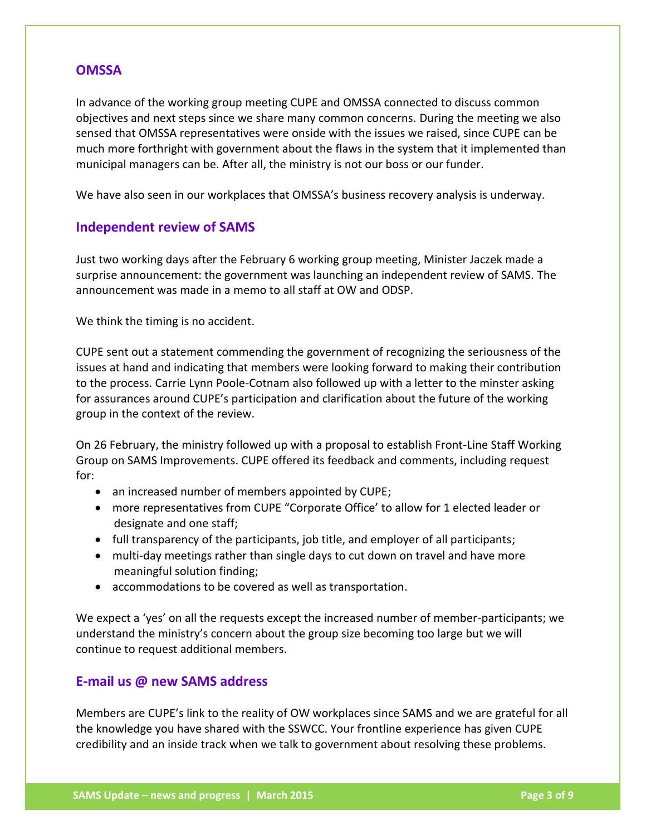#### <span id="page-2-0"></span>**OMSSA**

In advance of the working group meeting CUPE and OMSSA connected to discuss common objectives and next steps since we share many common concerns. During the meeting we also sensed that OMSSA representatives were onside with the issues we raised, since CUPE can be much more forthright with government about the flaws in the system that it implemented than municipal managers can be. After all, the ministry is not our boss or our funder.

We have also seen in our workplaces that OMSSA's business recovery analysis is underway.

#### <span id="page-2-1"></span>**Independent review of SAMS**

Just two working days after the February 6 working group meeting, Minister Jaczek made a surprise announcement: the government was launching an independent review of SAMS. The announcement was made in a memo to all staff at OW and ODSP.

We think the timing is no accident.

CUPE sent out a statement commending the government of recognizing the seriousness of the issues at hand and indicating that members were looking forward to making their contribution to the process. Carrie Lynn Poole-Cotnam also followed up with a letter to the minster asking for assurances around CUPE's participation and clarification about the future of the working group in the context of the review.

On 26 February, the ministry followed up with a proposal to establish Front-Line Staff Working Group on SAMS Improvements. CUPE offered its feedback and comments, including request for:

- an increased number of members appointed by CUPE;
- more representatives from CUPE "Corporate Office' to allow for 1 elected leader or designate and one staff;
- full transparency of the participants, job title, and employer of all participants;
- multi-day meetings rather than single days to cut down on travel and have more meaningful solution finding;
- accommodations to be covered as well as transportation.

We expect a 'yes' on all the requests except the increased number of member-participants; we understand the ministry's concern about the group size becoming too large but we will continue to request additional members.

### <span id="page-2-2"></span>**E-mail us @ new SAMS address**

Members are CUPE's link to the reality of OW workplaces since SAMS and we are grateful for all the knowledge you have shared with the SSWCC. Your frontline experience has given CUPE credibility and an inside track when we talk to government about resolving these problems.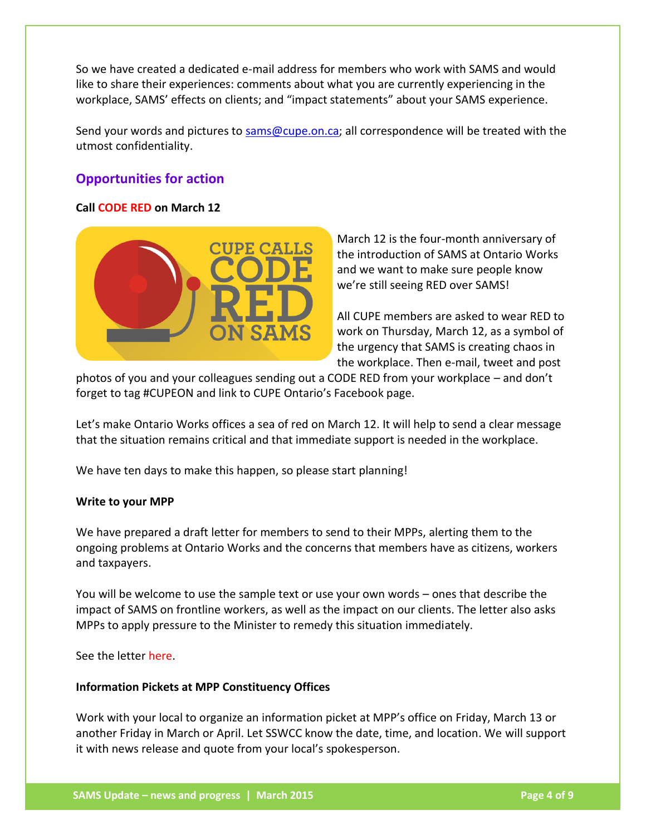So we have created a dedicated e-mail address for members who work with SAMS and would like to share their experiences: comments about what you are currently experiencing in the workplace, SAMS' effects on clients; and "impact statements" about your SAMS experience.

Send your words and pictures to [sams@cupe.on.ca;](mailto:SAMS@cupe.on.ca?subject=) all correspondence will be treated with the utmost confidentiality.

## <span id="page-3-0"></span>**Opportunities for action**

#### **Call CODE RED on March 12**



March 12 is the four-month anniversary of the introduction of SAMS at Ontario Works and we want to make sure people know we're still seeing RED over SAMS!

All CUPE members are asked to wear RED to work on Thursday, March 12, as a symbol of the urgency that SAMS is creating chaos in the workplace. Then e-mail, tweet and post

photos of you and your colleagues sending out a CODE RED from your workplace – and don't forget to tag #CUPEON and link to CUPE Ontario's Facebook page.

Let's make Ontario Works offices a sea of red on March 12. It will help to send a clear message that the situation remains critical and that immediate support is needed in the workplace.

We have ten days to make this happen, so please start planning!

#### **Write to your MPP**

We have prepared a draft letter for members to send to their MPPs, alerting them to the ongoing problems at Ontario Works and the concerns that members have as citizens, workers and taxpayers.

You will be welcome to use the sample text or use your own words – ones that describe the impact of SAMS on frontline workers, as well as the impact on our clients. The letter also asks MPPs to apply pressure to the Minister to remedy this situation immediately.

See the letter [here.](http://cupe.on.ca/a6928/SSWCC_Memo%20re%20SAMS%20letter%20to%20MPPs%20-%20campaign%20page%20March%202015.docx)

#### **Information Pickets at MPP Constituency Offices**

Work with your local to organize an information picket at MPP's office on Friday, March 13 or another Friday in March or April. Let SSWCC know the date, time, and location. We will support it with news release and quote from your local's spokesperson.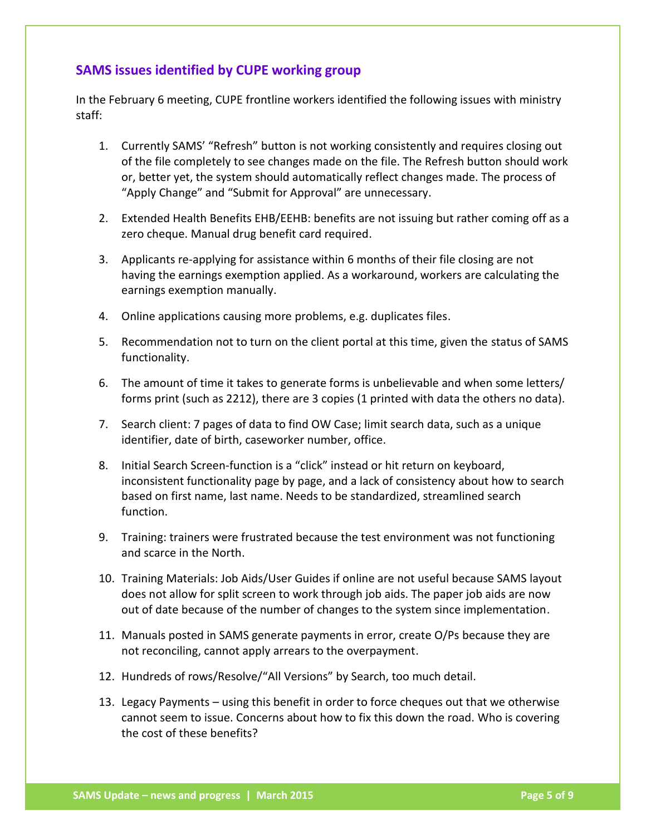## <span id="page-4-1"></span><span id="page-4-0"></span>**SAMS issues identified by CUPE working group**

In the February 6 meeting, CUPE frontline workers identified the following issues with ministry staff:

- 1. Currently SAMS' "Refresh" button is not working consistently and requires closing out of the file completely to see changes made on the file. The Refresh button should work or, better yet, the system should automatically reflect changes made. The process of "Apply Change" and "Submit for Approval" are unnecessary.
- 2. Extended Health Benefits EHB/EEHB: benefits are not issuing but rather coming off as a zero cheque. Manual drug benefit card required.
- 3. Applicants re-applying for assistance within 6 months of their file closing are not having the earnings exemption applied. As a workaround, workers are calculating the earnings exemption manually.
- 4. Online applications causing more problems, e.g. duplicates files.
- 5. Recommendation not to turn on the client portal at this time, given the status of SAMS functionality.
- 6. The amount of time it takes to generate forms is unbelievable and when some letters/ forms print (such as 2212), there are 3 copies (1 printed with data the others no data).
- 7. Search client: 7 pages of data to find OW Case; limit search data, such as a unique identifier, date of birth, caseworker number, office.
- 8. Initial Search Screen-function is a "click" instead or hit return on keyboard, inconsistent functionality page by page, and a lack of consistency about how to search based on first name, last name. Needs to be standardized, streamlined search function.
- 9. Training: trainers were frustrated because the test environment was not functioning and scarce in the North.
- 10. Training Materials: Job Aids/User Guides if online are not useful because SAMS layout does not allow for split screen to work through job aids. The paper job aids are now out of date because of the number of changes to the system since implementation.
- 11. Manuals posted in SAMS generate payments in error, create O/Ps because they are not reconciling, cannot apply arrears to the overpayment.
- 12. Hundreds of rows/Resolve/"All Versions" by Search, too much detail.
- 13. Legacy Payments using this benefit in order to force cheques out that we otherwise cannot seem to issue. Concerns about how to fix this down the road. Who is covering the cost of these benefits?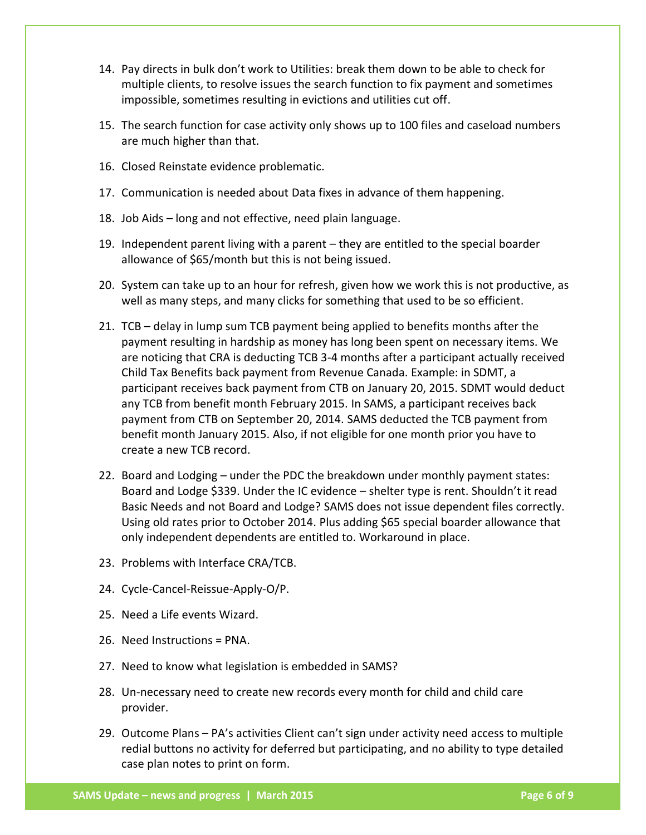- 14. Pay directs in bulk don't work to Utilities: break them down to be able to check for multiple clients, to resolve issues the search function to fix payment and sometimes impossible, sometimes resulting in evictions and utilities cut off.
- 15. The search function for case activity only shows up to 100 files and caseload numbers are much higher than that.
- 16. Closed Reinstate evidence problematic.
- 17. Communication is needed about Data fixes in advance of them happening.
- 18. Job Aids long and not effective, need plain language.
- 19. Independent parent living with a parent they are entitled to the special boarder allowance of \$65/month but this is not being issued.
- 20. System can take up to an hour for refresh, given how we work this is not productive, as well as many steps, and many clicks for something that used to be so efficient.
- 21. TCB delay in lump sum TCB payment being applied to benefits months after the payment resulting in hardship as money has long been spent on necessary items. We are noticing that CRA is deducting TCB 3-4 months after a participant actually received Child Tax Benefits back payment from Revenue Canada. Example: in SDMT, a participant receives back payment from CTB on January 20, 2015. SDMT would deduct any TCB from benefit month February 2015. In SAMS, a participant receives back payment from CTB on September 20, 2014. SAMS deducted the TCB payment from benefit month January 2015. Also, if not eligible for one month prior you have to create a new TCB record.
- 22. Board and Lodging under the PDC the breakdown under monthly payment states: Board and Lodge \$339. Under the IC evidence – shelter type is rent. Shouldn't it read Basic Needs and not Board and Lodge? SAMS does not issue dependent files correctly. Using old rates prior to October 2014. Plus adding \$65 special boarder allowance that only independent dependents are entitled to. Workaround in place.
- 23. Problems with Interface CRA/TCB.
- 24. Cycle-Cancel-Reissue-Apply-O/P.
- 25. Need a Life events Wizard.
- 26. Need Instructions = PNA.
- 27. Need to know what legislation is embedded in SAMS?
- 28. Un-necessary need to create new records every month for child and child care provider.
- 29. Outcome Plans PA's activities Client can't sign under activity need access to multiple redial buttons no activity for deferred but participating, and no ability to type detailed case plan notes to print on form.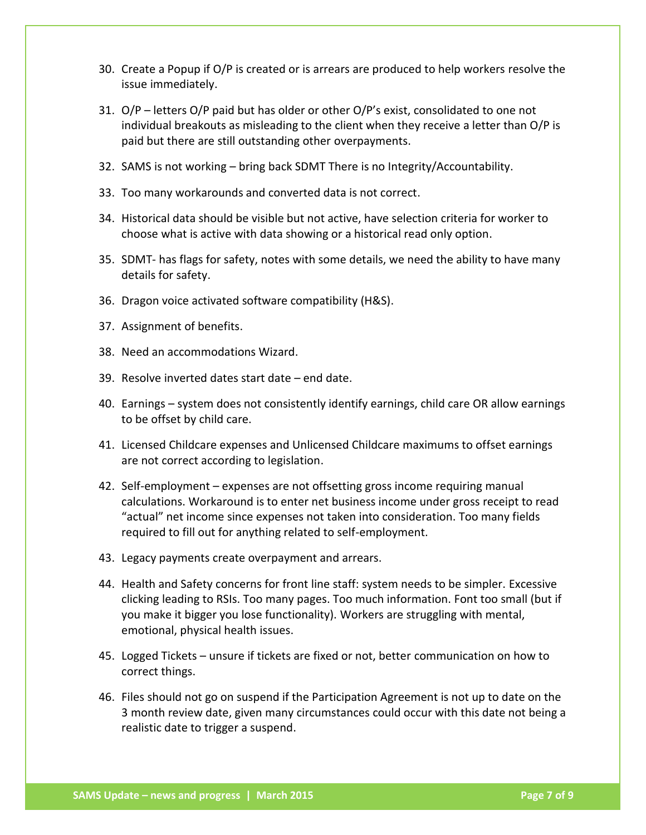- 30. Create a Popup if O/P is created or is arrears are produced to help workers resolve the issue immediately.
- 31.  $O/P$  letters O/P paid but has older or other O/P's exist, consolidated to one not individual breakouts as misleading to the client when they receive a letter than O/P is paid but there are still outstanding other overpayments.
- 32. SAMS is not working bring back SDMT There is no Integrity/Accountability.
- 33. Too many workarounds and converted data is not correct.
- 34. Historical data should be visible but not active, have selection criteria for worker to choose what is active with data showing or a historical read only option.
- 35. SDMT- has flags for safety, notes with some details, we need the ability to have many details for safety.
- 36. Dragon voice activated software compatibility (H&S).
- 37. Assignment of benefits.
- 38. Need an accommodations Wizard.
- 39. Resolve inverted dates start date end date.
- 40. Earnings system does not consistently identify earnings, child care OR allow earnings to be offset by child care.
- 41. Licensed Childcare expenses and Unlicensed Childcare maximums to offset earnings are not correct according to legislation.
- 42. Self-employment expenses are not offsetting gross income requiring manual calculations. Workaround is to enter net business income under gross receipt to read "actual" net income since expenses not taken into consideration. Too many fields required to fill out for anything related to self-employment.
- 43. Legacy payments create overpayment and arrears.
- 44. Health and Safety concerns for front line staff: system needs to be simpler. Excessive clicking leading to RSIs. Too many pages. Too much information. Font too small (but if you make it bigger you lose functionality). Workers are struggling with mental, emotional, physical health issues.
- 45. Logged Tickets unsure if tickets are fixed or not, better communication on how to correct things.
- 46. Files should not go on suspend if the Participation Agreement is not up to date on the 3 month review date, given many circumstances could occur with this date not being a realistic date to trigger a suspend.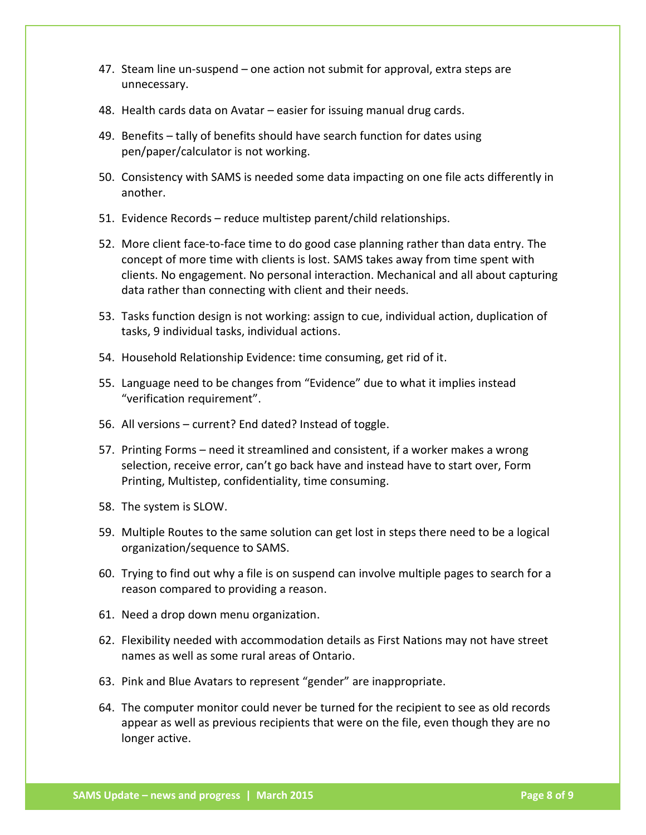- 47. Steam line un-suspend one action not submit for approval, extra steps are unnecessary.
- 48. Health cards data on Avatar easier for issuing manual drug cards.
- 49. Benefits tally of benefits should have search function for dates using pen/paper/calculator is not working.
- 50. Consistency with SAMS is needed some data impacting on one file acts differently in another.
- 51. Evidence Records reduce multistep parent/child relationships.
- 52. More client face-to-face time to do good case planning rather than data entry. The concept of more time with clients is lost. SAMS takes away from time spent with clients. No engagement. No personal interaction. Mechanical and all about capturing data rather than connecting with client and their needs.
- 53. Tasks function design is not working: assign to cue, individual action, duplication of tasks, 9 individual tasks, individual actions.
- 54. Household Relationship Evidence: time consuming, get rid of it.
- 55. Language need to be changes from "Evidence" due to what it implies instead "verification requirement".
- 56. All versions current? End dated? Instead of toggle.
- 57. Printing Forms need it streamlined and consistent, if a worker makes a wrong selection, receive error, can't go back have and instead have to start over, Form Printing, Multistep, confidentiality, time consuming.
- 58. The system is SLOW.
- 59. Multiple Routes to the same solution can get lost in steps there need to be a logical organization/sequence to SAMS.
- 60. Trying to find out why a file is on suspend can involve multiple pages to search for a reason compared to providing a reason.
- 61. Need a drop down menu organization.
- 62. Flexibility needed with accommodation details as First Nations may not have street names as well as some rural areas of Ontario.
- 63. Pink and Blue Avatars to represent "gender" are inappropriate.
- 64. The computer monitor could never be turned for the recipient to see as old records appear as well as previous recipients that were on the file, even though they are no longer active.